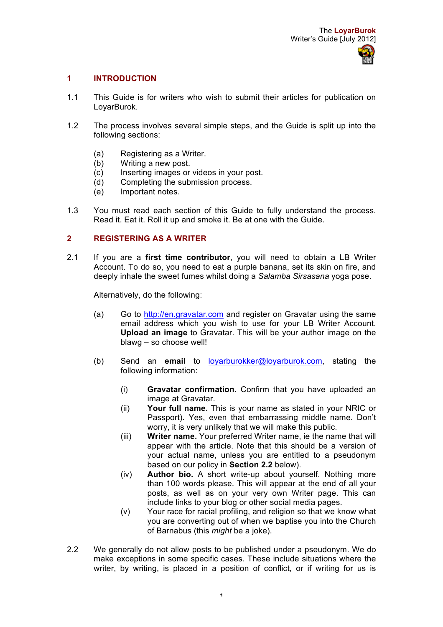# **1 INTRODUCTION**

- 1.1 This Guide is for writers who wish to submit their articles for publication on LoyarBurok.
- 1.2 The process involves several simple steps, and the Guide is split up into the following sections:
	- (a) Registering as a Writer.
	- (b) Writing a new post.
	- (c) Inserting images or videos in your post.
	- (d) Completing the submission process.
	- (e) Important notes.
- 1.3 You must read each section of this Guide to fully understand the process. Read it. Eat it. Roll it up and smoke it. Be at one with the Guide.

### **2 REGISTERING AS A WRITER**

2.1 If you are a **first time contributor**, you will need to obtain a LB Writer Account. To do so, you need to eat a purple banana, set its skin on fire, and deeply inhale the sweet fumes whilst doing a *Salamba Sirsasana* yoga pose.

Alternatively, do the following:

- (a) Go to http://en.gravatar.com and register on Gravatar using the same email address which you wish to use for your LB Writer Account. **Upload an image** to Gravatar. This will be your author image on the blawg – so choose well!
- (b) Send an **email** to loyarburokker@loyarburok.com, stating the following information:
	- (i) **Gravatar confirmation.** Confirm that you have uploaded an image at Gravatar.
	- (ii) **Your full name.** This is your name as stated in your NRIC or Passport). Yes, even that embarrassing middle name. Don't worry, it is very unlikely that we will make this public.
	- (iii) **Writer name.** Your preferred Writer name, ie the name that will appear with the article. Note that this should be a version of your actual name, unless you are entitled to a pseudonym based on our policy in **Section 2.2** below).
	- (iv) **Author bio.** A short write-up about yourself. Nothing more than 100 words please. This will appear at the end of all your posts, as well as on your very own Writer page. This can include links to your blog or other social media pages.
	- (v) Your race for racial profiling, and religion so that we know what you are converting out of when we baptise you into the Church of Barnabus (this *might* be a joke).
- 2.2 We generally do not allow posts to be published under a pseudonym. We do make exceptions in some specific cases. These include situations where the writer, by writing, is placed in a position of conflict, or if writing for us is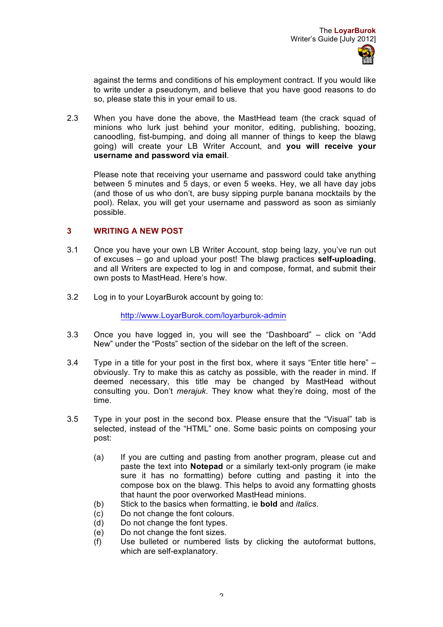against the terms and conditions of his employment contract. If you would like to write under a pseudonym, and believe that you have good reasons to do so, please state this in your email to us.

2.3 When you have done the above, the MastHead team (the crack squad of minions who lurk just behind your monitor, editing, publishing, boozing, canoodling, fist-bumping, and doing all manner of things to keep the blawg going) will create your LB Writer Account, and **you will receive your username and password via email**.

Please note that receiving your username and password could take anything between 5 minutes and 5 days, or even 5 weeks. Hey, we all have day jobs (and those of us who don't, are busy sipping purple banana mocktails by the pool). Relax, you will get your username and password as soon as simianly possible.

## **3 WRITING A NEW POST**

- 3.1 Once you have your own LB Writer Account, stop being lazy, you've run out of excuses – go and upload your post! The blawg practices **self-uploading**, and all Writers are expected to log in and compose, format, and submit their own posts to MastHead. Here's how.
- 3.2 Log in to your LoyarBurok account by going to:

http://www.LoyarBurok.com/loyarburok-admin

- 3.3 Once you have logged in, you will see the "Dashboard" click on "Add New" under the "Posts" section of the sidebar on the left of the screen.
- 3.4 Type in a title for your post in the first box, where it says "Enter title here" obviously. Try to make this as catchy as possible, with the reader in mind. If deemed necessary, this title may be changed by MastHead without consulting you. Don't *merajuk*. They know what they're doing, most of the time.
- 3.5 Type in your post in the second box. Please ensure that the "Visual" tab is selected, instead of the "HTML" one. Some basic points on composing your post:
	- (a) If you are cutting and pasting from another program, please cut and paste the text into **Notepad** or a similarly text-only program (ie make sure it has no formatting) before cutting and pasting it into the compose box on the blawg. This helps to avoid any formatting ghosts that haunt the poor overworked MastHead minions.
	- (b) Stick to the basics when formatting, ie **bold** and *italics*.
	- (c) Do not change the font colours.
	- (d) Do not change the font types.
	- (e) Do not change the font sizes.
	- (f) Use bulleted or numbered lists by clicking the autoformat buttons, which are self-explanatory.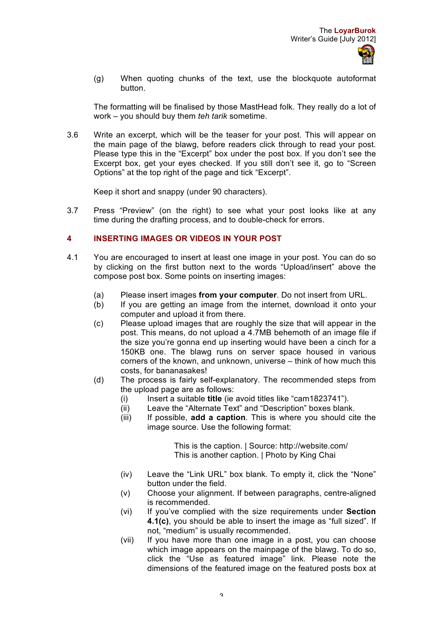(g) When quoting chunks of the text, use the blockquote autoformat button.

The formatting will be finalised by those MastHead folk. They really do a lot of work – you should buy them *teh tarik* sometime.

3.6 Write an excerpt, which will be the teaser for your post. This will appear on the main page of the blawg, before readers click through to read your post. Please type this in the "Excerpt" box under the post box. If you don't see the Excerpt box, get your eyes checked. If you still don't see it, go to "Screen Options" at the top right of the page and tick "Excerpt".

Keep it short and snappy (under 90 characters).

3.7 Press "Preview" (on the right) to see what your post looks like at any time during the drafting process, and to double-check for errors.

### **4 INSERTING IMAGES OR VIDEOS IN YOUR POST**

- 4.1 You are encouraged to insert at least one image in your post. You can do so by clicking on the first button next to the words "Upload/insert" above the compose post box. Some points on inserting images:
	- (a) Please insert images **from your computer**. Do not insert from URL.
	- (b) If you are getting an image from the internet, download it onto your computer and upload it from there.
	- (c) Please upload images that are roughly the size that will appear in the post. This means, do not upload a 4.7MB behemoth of an image file if the size you're gonna end up inserting would have been a cinch for a 150KB one. The blawg runs on server space housed in various corners of the known, and unknown, universe – think of how much this costs, for bananasakes!
	- (d) The process is fairly self-explanatory. The recommended steps from the upload page are as follows:
		- (i) Insert a suitable **title** (ie avoid titles like "cam1823741").
		- (ii) Leave the "Alternate Text" and "Description" boxes blank.
		- (iii) If possible, **add a caption**. This is where you should cite the image source. Use the following format:

This is the caption. | Source: http://website.com/ This is another caption. | Photo by King Chai

- (iv) Leave the "Link URL" box blank. To empty it, click the "None" button under the field.
- (v) Choose your alignment. If between paragraphs, centre-aligned is recommended.
- (vi) If you've complied with the size requirements under **Section 4.1(c)**, you should be able to insert the image as "full sized". If not, "medium" is usually recommended.
- (vii) If you have more than one image in a post, you can choose which image appears on the mainpage of the blawg. To do so, click the "Use as featured image" link. Please note the dimensions of the featured image on the featured posts box at